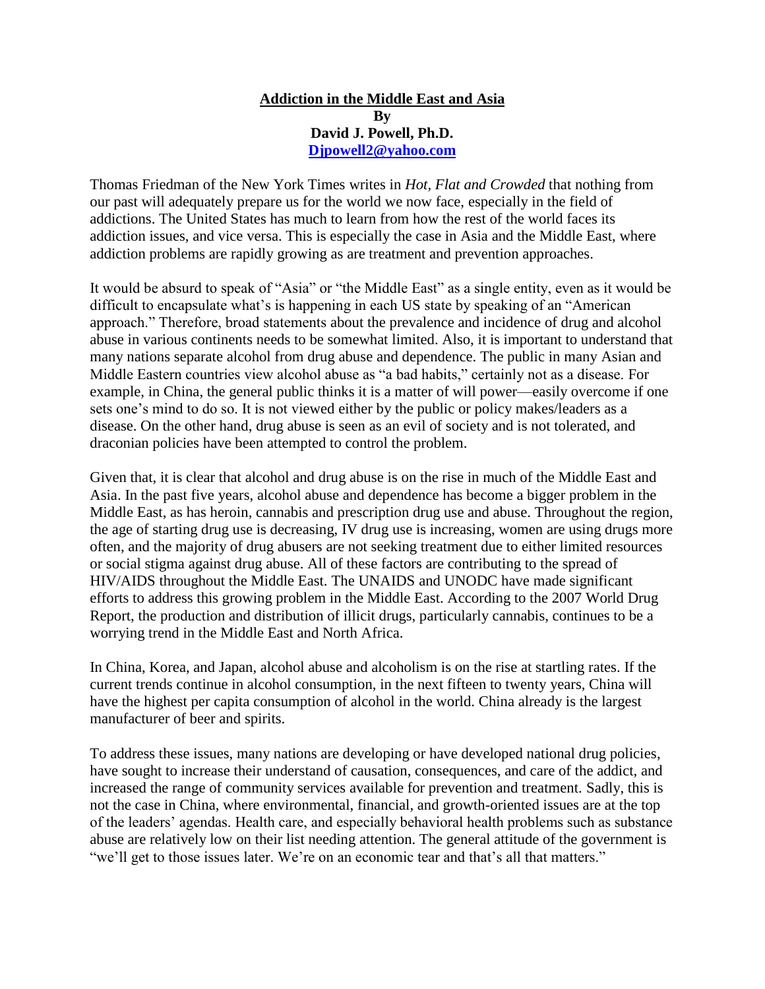## **Addiction in the Middle East and Asia By David J. Powell, Ph.D. [Djpowell2@yahoo.com](mailto:Djpowell2@yahoo.com)**

Thomas Friedman of the New York Times writes in *Hot, Flat and Crowded* that nothing from our past will adequately prepare us for the world we now face, especially in the field of addictions. The United States has much to learn from how the rest of the world faces its addiction issues, and vice versa. This is especially the case in Asia and the Middle East, where addiction problems are rapidly growing as are treatment and prevention approaches.

It would be absurd to speak of "Asia" or "the Middle East" as a single entity, even as it would be difficult to encapsulate what's is happening in each US state by speaking of an "American approach." Therefore, broad statements about the prevalence and incidence of drug and alcohol abuse in various continents needs to be somewhat limited. Also, it is important to understand that many nations separate alcohol from drug abuse and dependence. The public in many Asian and Middle Eastern countries view alcohol abuse as "a bad habits," certainly not as a disease. For example, in China, the general public thinks it is a matter of will power—easily overcome if one sets one's mind to do so. It is not viewed either by the public or policy makes/leaders as a disease. On the other hand, drug abuse is seen as an evil of society and is not tolerated, and draconian policies have been attempted to control the problem.

Given that, it is clear that alcohol and drug abuse is on the rise in much of the Middle East and Asia. In the past five years, alcohol abuse and dependence has become a bigger problem in the Middle East, as has heroin, cannabis and prescription drug use and abuse. Throughout the region, the age of starting drug use is decreasing, IV drug use is increasing, women are using drugs more often, and the majority of drug abusers are not seeking treatment due to either limited resources or social stigma against drug abuse. All of these factors are contributing to the spread of HIV/AIDS throughout the Middle East. The UNAIDS and UNODC have made significant efforts to address this growing problem in the Middle East. According to the 2007 World Drug Report, the production and distribution of illicit drugs, particularly cannabis, continues to be a worrying trend in the Middle East and North Africa.

In China, Korea, and Japan, alcohol abuse and alcoholism is on the rise at startling rates. If the current trends continue in alcohol consumption, in the next fifteen to twenty years, China will have the highest per capita consumption of alcohol in the world. China already is the largest manufacturer of beer and spirits.

To address these issues, many nations are developing or have developed national drug policies, have sought to increase their understand of causation, consequences, and care of the addict, and increased the range of community services available for prevention and treatment. Sadly, this is not the case in China, where environmental, financial, and growth-oriented issues are at the top of the leaders' agendas. Health care, and especially behavioral health problems such as substance abuse are relatively low on their list needing attention. The general attitude of the government is "we'll get to those issues later. We're on an economic tear and that's all that matters."